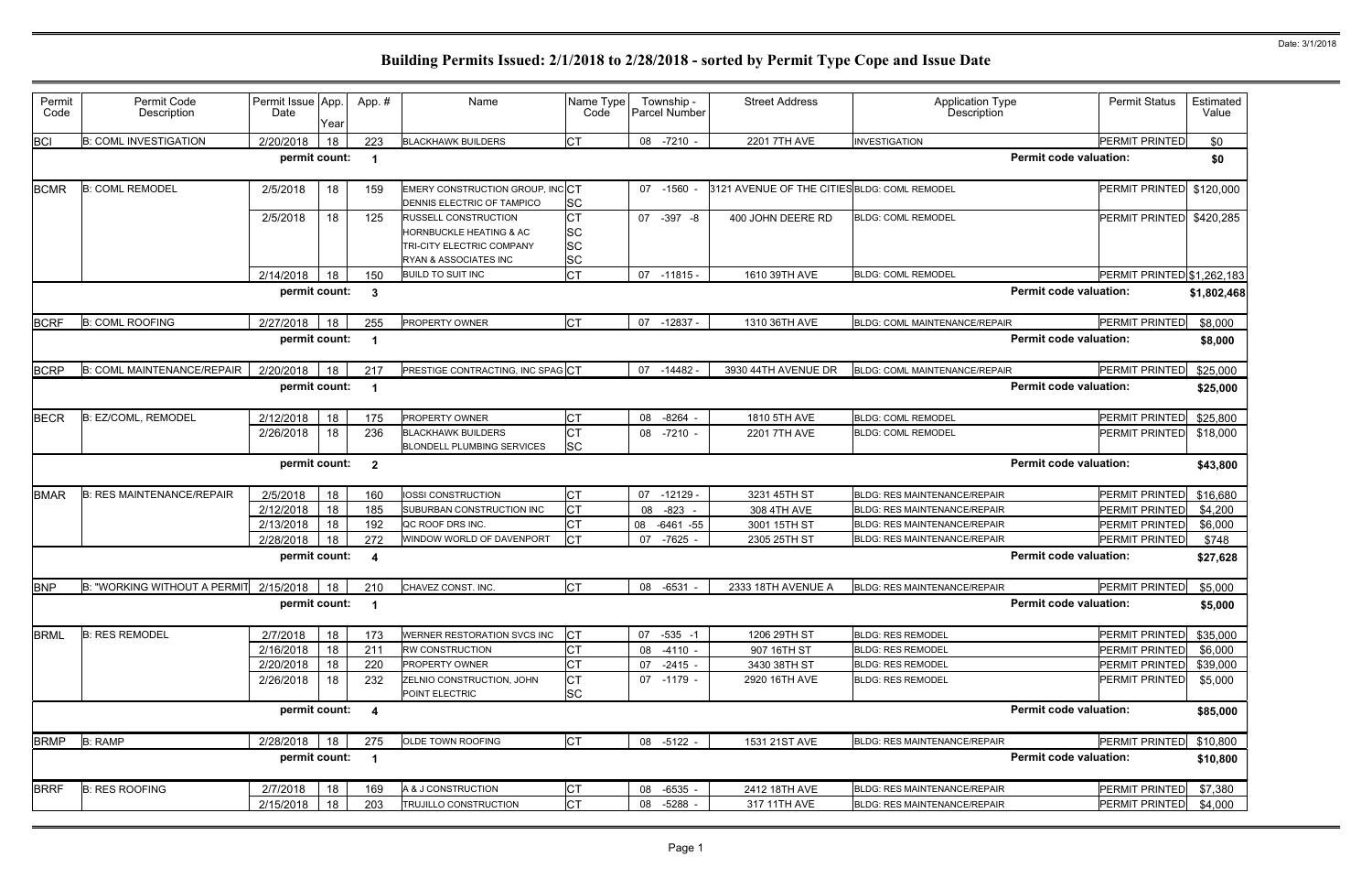| Permit<br>Code | Permit Code<br>Description        | Permit Issue App.<br>Date | Year | App.#                   | Name                                                                                                                    | Name Type<br>Code                                | Township -<br><b>Parcel Number</b> | <b>Street Address</b>                        | Application Type<br><b>Description</b> | <b>Permit Status</b>       | Estimated<br>Value |
|----------------|-----------------------------------|---------------------------|------|-------------------------|-------------------------------------------------------------------------------------------------------------------------|--------------------------------------------------|------------------------------------|----------------------------------------------|----------------------------------------|----------------------------|--------------------|
| <b>BCI</b>     | <b>B: COML INVESTIGATION</b>      | 2/20/2018                 | 18   | 223                     | <b>BLACKHAWK BUILDERS</b>                                                                                               | <b>CT</b>                                        | 08 -7210 -                         | 2201 7TH AVE                                 | <b>INVESTIGATION</b>                   | <b>PERMIT PRINTED</b>      | \$0                |
|                |                                   | permit count:             |      | -1                      |                                                                                                                         |                                                  |                                    |                                              | <b>Permit code valuation:</b>          |                            | \$0                |
| <b>BCMR</b>    | <b>B: COML REMODEL</b>            | 2/5/2018                  | 18   | 159                     | EMERY CONSTRUCTION GROUP, INCCT<br>DENNIS ELECTRIC OF TAMPICO                                                           | <b>SC</b>                                        | 07 -1560 -                         | 3121 AVENUE OF THE CITIES BLDG: COML REMODEL |                                        | <b>PERMIT PRINTED</b>      | \$120,000          |
|                |                                   | 2/5/2018                  | 18   | 125                     | <b>RUSSELL CONSTRUCTION</b><br><b>HORNBUCKLE HEATING &amp; AC</b><br>TRI-CITY ELECTRIC COMPANY<br>RYAN & ASSOCIATES INC | <b>CT</b><br><b>SC</b><br><b>SC</b><br><b>SC</b> | 07 -397 -8                         | 400 JOHN DEERE RD                            | <b>BLDG: COML REMODEL</b>              | <b>PERMIT PRINTED</b>      | \$420,285          |
|                |                                   | 2/14/2018                 | 18   | 150                     | <b>BUILD TO SUIT INC</b>                                                                                                | <b>CT</b>                                        | 07<br>$-11815 -$                   | 1610 39TH AVE                                | <b>BLDG: COML REMODEL</b>              | PERMIT PRINTED \$1,262,183 |                    |
|                |                                   | permit count:             |      | $\mathbf{3}$            |                                                                                                                         |                                                  |                                    |                                              | <b>Permit code valuation:</b>          |                            | \$1,802,468        |
| <b>BCRF</b>    | <b>B: COML ROOFING</b>            | 2/27/2018                 | 18   | 255                     | PROPERTY OWNER                                                                                                          | <b>I</b> CT                                      | 07<br>$-12837 -$                   | 1310 36TH AVE                                | BLDG: COML MAINTENANCE/REPAIR          | PERMIT PRINTED             | \$8,000            |
|                |                                   | permit count:             |      | - 1                     |                                                                                                                         |                                                  |                                    |                                              | <b>Permit code valuation:</b>          |                            | \$8,000            |
| <b>BCRP</b>    | <b>B: COML MAINTENANCE/REPAIR</b> | 2/20/2018                 | 18   | 217                     | PRESTIGE CONTRACTING, INC SPAGCT                                                                                        |                                                  | $-14482$<br>07                     | 3930 44TH AVENUE DR                          | BLDG: COML MAINTENANCE/REPAIR          | <b>PERMIT PRINTED</b>      | \$25,000           |
|                |                                   | permit count:             |      |                         |                                                                                                                         |                                                  |                                    |                                              | <b>Permit code valuation:</b>          |                            | \$25,000           |
| <b>BECR</b>    | B: EZ/COML, REMODEL               | 2/12/2018                 | 18   | 175                     | PROPERTY OWNER                                                                                                          | <b>CT</b>                                        | 08<br>$-8264$ -                    | 1810 5TH AVE                                 | <b>BLDG: COML REMODEL</b>              | <b>PERMIT PRINTED</b>      | \$25,800           |
|                |                                   | 2/26/2018                 | 18   | 236                     | <b>BLACKHAWK BUILDERS</b><br><b>BLONDELL PLUMBING SERVICES</b>                                                          | <b>CT</b><br><b>SC</b>                           | $-7210 -$<br>08                    | 2201 7TH AVE                                 | <b>BLDG: COML REMODEL</b>              | PERMIT PRINTED             | \$18,000           |
|                |                                   | permit count:             |      | $\overline{\mathbf{2}}$ |                                                                                                                         |                                                  |                                    |                                              | <b>Permit code valuation:</b>          |                            | \$43,800           |
| <b>BMAR</b>    | <b>B: RES MAINTENANCE/REPAIR</b>  | 2/5/2018                  | 18   | 160                     | <b>IOSSI CONSTRUCTION</b>                                                                                               | <b>CT</b>                                        | 07<br>$-12129$                     | 3231 45TH ST                                 | <b>BLDG: RES MAINTENANCE/REPAIR</b>    | PERMIT PRINTED             | \$16,680           |
|                |                                   | 2/12/2018                 | 18   | 185                     | SUBURBAN CONSTRUCTION INC                                                                                               | <b>CT</b>                                        | 08<br>$-823$                       | 308 4TH AVE                                  | <b>BLDG: RES MAINTENANCE/REPAIR</b>    | <b>PERMIT PRINTED</b>      | \$4,200            |
|                |                                   | 2/13/2018                 | 18   | 192                     | QC ROOF DRS INC.                                                                                                        | <b>CT</b>                                        | 08<br>$-6461 - 55$                 | 3001 15TH ST                                 | <b>BLDG: RES MAINTENANCE/REPAIR</b>    | <b>PERMIT PRINTED</b>      | \$6,000            |
|                |                                   | 2/28/2018                 | 18   | 272                     | WINDOW WORLD OF DAVENPORT                                                                                               | <b>CT</b>                                        | $-7625$<br>07                      | 2305 25TH ST                                 | BLDG: RES MAINTENANCE/REPAIR           | PERMIT PRINTED             | \$748              |
|                |                                   | permit count:             |      | 4                       |                                                                                                                         |                                                  |                                    |                                              | <b>Permit code valuation:</b>          |                            | \$27,628           |
| <b>BNP</b>     | B: "WORKING WITHOUT A PERMIT      | 2/15/2018                 | 18   | 210                     | CHAVEZ CONST. INC.                                                                                                      | <b>CT</b>                                        | $-6531 -$<br>08                    | 2333 18TH AVENUE A                           | <b>BLDG: RES MAINTENANCE/REPAIR</b>    | PERMIT PRINTED             | \$5,000            |
|                |                                   | permit count:             |      |                         |                                                                                                                         |                                                  |                                    |                                              | <b>Permit code valuation:</b>          |                            | \$5,000            |
| <b>BRML</b>    | <b>B: RES REMODEL</b>             | 2/7/2018                  | 18   | 173                     | WERNER RESTORATION SVCS INC                                                                                             | <b>CT</b>                                        | $-535 - 1$<br>07                   | 1206 29TH ST                                 | <b>BLDG: RES REMODEL</b>               | PERMIT PRINTED             | \$35,000           |
|                |                                   | 2/16/2018                 | 18   | 211                     | RW CONSTRUCTION                                                                                                         | <b>CT</b>                                        | $-4110 -$<br>08                    | 907 16TH ST                                  | <b>BLDG: RES REMODEL</b>               | PERMIT PRINTED             | \$6,000            |
|                |                                   | 2/20/2018                 | 18   | 220                     | PROPERTY OWNER                                                                                                          | <b>CT</b>                                        | $-2415 -$<br>07                    | 3430 38TH ST                                 | <b>BLDG: RES REMODEL</b>               | PERMIT PRINTED             | \$39,000           |
|                |                                   | 2/26/2018                 | 18   | 232                     | ZELNIO CONSTRUCTION, JOHN<br>POINT ELECTRIC                                                                             | <b>CT</b><br><b>SC</b>                           | 07 -1179 -                         | 2920 16TH AVE                                | <b>BLDG: RES REMODEL</b>               | <b>PERMIT PRINTED</b>      | \$5,000            |
|                |                                   | permit count:             |      | $\overline{\mathbf{4}}$ |                                                                                                                         |                                                  |                                    |                                              | <b>Permit code valuation:</b>          |                            | \$85,000           |
| <b>BRMP</b>    | <b>B: RAMP</b>                    | 2/28/2018                 | 18   | 275                     | OLDE TOWN ROOFING                                                                                                       | <b>CT</b>                                        | 08 -5122 -                         | 1531 21ST AVE                                | <b>BLDG: RES MAINTENANCE/REPAIR</b>    | PERMIT PRINTED             | \$10,800           |
|                |                                   |                           |      |                         |                                                                                                                         |                                                  |                                    |                                              |                                        |                            |                    |
|                |                                   | permit count:             |      | -1                      |                                                                                                                         |                                                  |                                    |                                              | <b>Permit code valuation:</b>          |                            | \$10,800           |
| <b>BRRF</b>    | <b>B: RES ROOFING</b>             | 2/7/2018                  | 18   | 169                     | A & J CONSTRUCTION                                                                                                      | <b>CT</b>                                        | $-6535 -$<br>08                    | 2412 18TH AVE                                | BLDG: RES MAINTENANCE/REPAIR           | PERMIT PRINTED             | \$7,380            |
|                |                                   | 2/15/2018                 | 18   | 203                     | TRUJILLO CONSTRUCTION                                                                                                   | <b>CT</b>                                        | $-5288 -$<br>08                    | 317 11TH AVE                                 | BLDG: RES MAINTENANCE/REPAIR           | PERMIT PRINTED             | \$4,000            |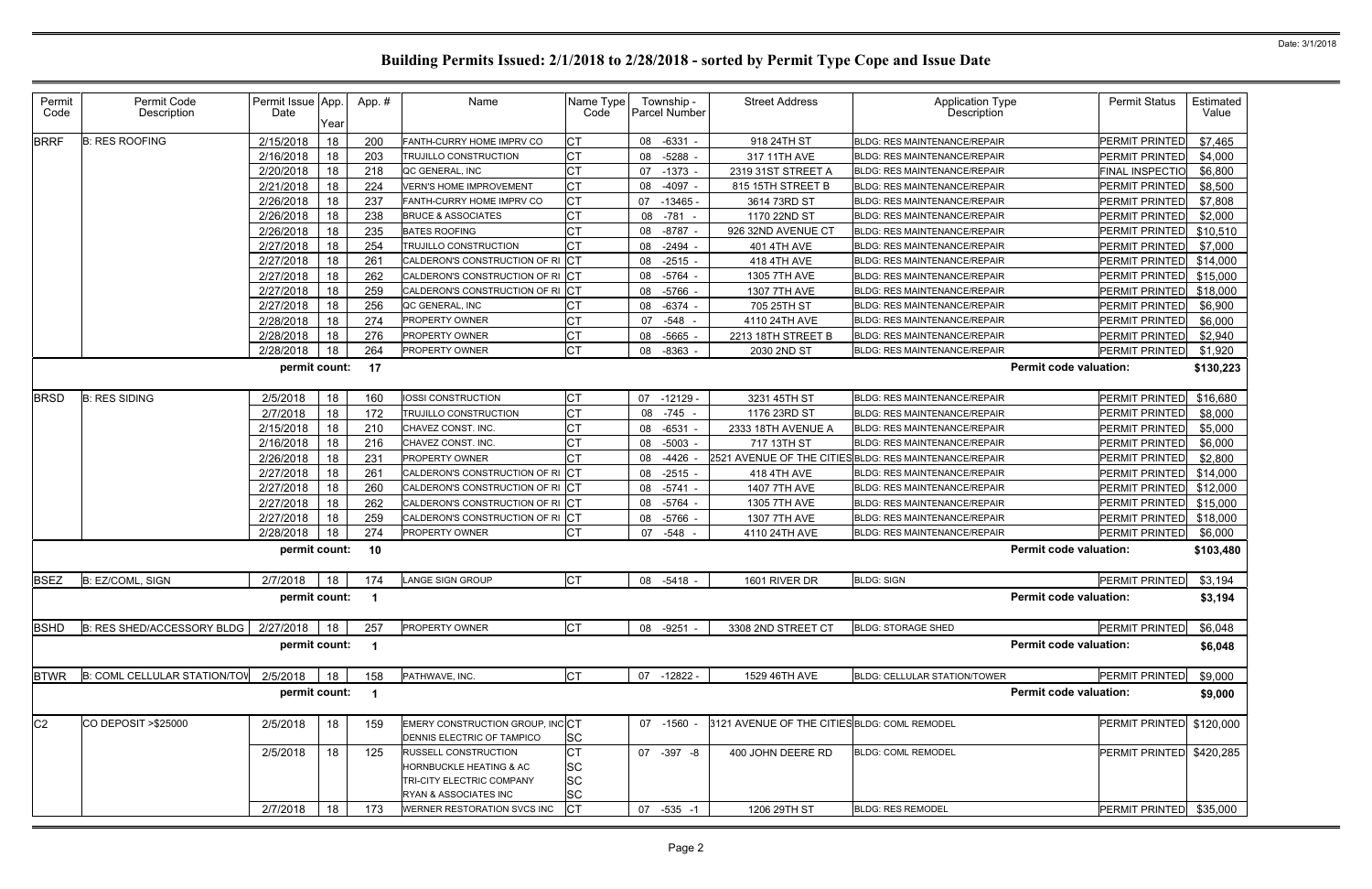| Permit<br>Code | Permit Code<br>Description          | Permit Issue App.<br>Date | Year | App.# | Name                                                          | Name Type<br>Code | Township -<br><b>Parcel Number</b> | <b>Street Address</b>                        | <b>Application Type</b><br>Description                 | <b>Permit Status</b>          | Estimated<br>Value |
|----------------|-------------------------------------|---------------------------|------|-------|---------------------------------------------------------------|-------------------|------------------------------------|----------------------------------------------|--------------------------------------------------------|-------------------------------|--------------------|
| <b>BRRF</b>    | <b>B: RES ROOFING</b>               | 2/15/2018                 | 18   | 200   | FANTH-CURRY HOME IMPRV CO                                     | IСТ               | $-6331 -$<br>08                    | 918 24TH ST                                  | <b>BLDG: RES MAINTENANCE/REPAIR</b>                    | PERMIT PRINTED                | \$7,465            |
|                |                                     | 2/16/2018                 | 18   | 203   | TRUJILLO CONSTRUCTION                                         | <b>CT</b>         | $-5288$ -<br>08                    | 317 11TH AVE                                 | <b>BLDG: RES MAINTENANCE/REPAIR</b>                    | <b>PERMIT PRINTED</b>         | \$4,000            |
|                |                                     | 2/20/2018                 | 18   | 218   | QC GENERAL, INC                                               | <b>CT</b>         | $-1373$ -<br>07                    | 2319 31ST STREET A                           | <b>BLDG: RES MAINTENANCE/REPAIR</b>                    | FINAL INSPECTIO               | \$6,800            |
|                |                                     | 2/21/2018                 | 18   | 224   | <b>VERN'S HOME IMPROVEMENT</b>                                | <b>CT</b>         | $-4097 -$<br>08                    | 815 15TH STREET B                            | <b>BLDG: RES MAINTENANCE/REPAIR</b>                    | <b>PERMIT PRINTED</b>         | \$8,500            |
|                |                                     | 2/26/2018                 | 18   | 237   | FANTH-CURRY HOME IMPRV CO                                     | <b>CT</b>         | 07<br>$-13465$                     | 3614 73RD ST                                 | <b>BLDG: RES MAINTENANCE/REPAIR</b>                    | PERMIT PRINTED                | \$7,808            |
|                |                                     | 2/26/2018                 | 18   | 238   | <b>BRUCE &amp; ASSOCIATES</b>                                 | <b>CT</b>         | $-781$<br>08                       | 1170 22ND ST                                 | <b>BLDG: RES MAINTENANCE/REPAIR</b>                    | <b>PERMIT PRINTED</b>         | \$2,000            |
|                |                                     | 2/26/2018                 | 18   | 235   | <b>BATES ROOFING</b>                                          | <b>CT</b>         | $-8787$<br>08                      | 926 32ND AVENUE CT                           | <b>BLDG: RES MAINTENANCE/REPAIR</b>                    | PERMIT PRINTED                | \$10,510           |
|                |                                     | 2/27/2018                 | 18   | 254   | TRUJILLO CONSTRUCTION                                         | <b>CT</b>         | $-2494 -$<br>08                    | 401 4TH AVE                                  | <b>BLDG: RES MAINTENANCE/REPAIR</b>                    | <b>PERMIT PRINTED</b>         | \$7,000            |
|                |                                     | 2/27/2018                 | 18   | 261   | CALDERON'S CONSTRUCTION OF RI                                 | C                 | $-2515 -$<br>08                    | 418 4TH AVE                                  | <b>BLDG: RES MAINTENANCE/REPAIR</b>                    | PERMIT PRINTED                | \$14,000           |
|                |                                     | 2/27/2018                 | 18   | 262   | CALDERON'S CONSTRUCTION OF RI                                 | C                 | 08<br>$-5764 -$                    | 1305 7TH AVE                                 | BLDG: RES MAINTENANCE/REPAIR                           | PERMIT PRINTED                | \$15,000           |
|                |                                     | 2/27/2018                 | 18   | 259   | CALDERON'S CONSTRUCTION OF RI CT                              |                   | $-5766$ -<br>08                    | 1307 7TH AVE                                 | <b>BLDG: RES MAINTENANCE/REPAIR</b>                    | <b>PERMIT PRINTED</b>         | \$18,000           |
|                |                                     | 2/27/2018                 | 18   | 256   | QC GENERAL, INC                                               | СT                | $-6374 -$<br>08                    | 705 25TH ST                                  | <b>BLDG: RES MAINTENANCE/REPAIR</b>                    | PERMIT PRINTED                | \$6,900            |
|                |                                     | 2/28/2018                 | 18   | 274   | PROPERTY OWNER                                                | СT                | $-548 -$<br>07                     | 4110 24TH AVE                                | <b>BLDG: RES MAINTENANCE/REPAIR</b>                    | <b>PERMIT PRINTED</b>         | \$6,000            |
|                |                                     | 2/28/2018                 | 18   | 276   | PROPERTY OWNER                                                | <b>CT</b>         | -5665<br>08                        | 2213 18TH STREET B                           | BLDG: RES MAINTENANCE/REPAIR                           | PERMIT PRINTED                | \$2,940            |
|                |                                     | 2/28/2018                 | 18   | 264   | PROPERTY OWNER                                                | <b>CT</b>         | 08<br>-8363                        | 2030 2ND ST                                  | <b>BLDG: RES MAINTENANCE/REPAIR</b>                    | PERMIT PRINTED                | \$1,920            |
|                |                                     | permit count:             |      | 17    |                                                               |                   |                                    |                                              |                                                        | <b>Permit code valuation:</b> | \$130,223          |
| <b>BRSD</b>    | <b>B: RES SIDING</b>                | 2/5/2018                  | 18   | 160   | <b>OSSI CONSTRUCTION</b>                                      | CT                | $-12129 -$<br>07                   | 3231 45TH ST                                 | <b>BLDG: RES MAINTENANCE/REPAIR</b>                    | PERMIT PRINTED                | \$16,680           |
|                |                                     | 2/7/2018                  | 18   | 172   | TRUJILLO CONSTRUCTION                                         | <b>CT</b>         | $-745 -$<br>08                     | 1176 23RD ST                                 | <b>BLDG: RES MAINTENANCE/REPAIR</b>                    | <b>PERMIT PRINTED</b>         | \$8,000            |
|                |                                     | 2/15/2018                 | 18   | 210   | CHAVEZ CONST. INC.                                            | <b>CT</b>         | $-6531$<br>08                      | 2333 18TH AVENUE A                           | BLDG: RES MAINTENANCE/REPAIR                           | <b>PERMIT PRINTED</b>         | \$5,000            |
|                |                                     | 2/16/2018                 | 18   | 216   | CHAVEZ CONST. INC.                                            | <b>CT</b>         | $-5003 -$<br>08                    | 717 13TH ST                                  | <b>BLDG: RES MAINTENANCE/REPAIR</b>                    | <b>PERMIT PRINTED</b>         | \$6,000            |
|                |                                     | 2/26/2018                 | 18   | 231   | PROPERTY OWNER                                                | <b>CT</b>         | -4426<br>08                        |                                              | 2521 AVENUE OF THE CITIES BLDG: RES MAINTENANCE/REPAIR | PERMIT PRINTED                | \$2,800            |
|                |                                     | 2/27/2018                 | 18   | 261   | CALDERON'S CONSTRUCTION OF RICT                               |                   | $-2515 -$<br>08                    | 418 4TH AVE                                  | <b>BLDG: RES MAINTENANCE/REPAIR</b>                    | PERMIT PRINTED                | \$14,000           |
|                |                                     | 2/27/2018                 | 18   | 260   | CALDERON'S CONSTRUCTION OF RI                                 | <b>ICT</b>        | $-5741 -$<br>08                    | 1407 7TH AVE                                 | <b>BLDG: RES MAINTENANCE/REPAIR</b>                    | PERMIT PRINTED                | \$12,000           |
|                |                                     | 2/27/2018                 | 18   | 262   | CALDERON'S CONSTRUCTION OF RICT                               |                   | -5764<br>08                        | 1305 7TH AVE                                 | <b>BLDG: RES MAINTENANCE/REPAIR</b>                    | <b>PERMIT PRINTED</b>         | \$15,000           |
|                |                                     | 2/27/2018                 | 18   | 259   | CALDERON'S CONSTRUCTION OF RI                                 | <b>ICT</b>        | $-5766$ -<br>08                    | 1307 7TH AVE                                 | BLDG: RES MAINTENANCE/REPAIR                           | PERMIT PRINTED                | \$18,000           |
|                |                                     | 2/28/2018                 | 18   | 274   | PROPERTY OWNER                                                | <b>CT</b>         | -548<br>07                         | 4110 24TH AVE                                | <b>BLDG: RES MAINTENANCE/REPAIR</b>                    | PERMIT PRINTED                | \$6,000            |
|                |                                     | permit count:             |      | 10    |                                                               |                   |                                    |                                              |                                                        | <b>Permit code valuation:</b> | \$103,480          |
| <b>BSEZ</b>    | B: EZ/COML, SIGN                    | 2/7/2018                  | 18   | 174   | <b>LANGE SIGN GROUP</b>                                       | <b>CT</b>         | 08 -5418 -                         | 1601 RIVER DR                                | <b>BLDG: SIGN</b>                                      | <b>PERMIT PRINTED</b>         | \$3,194            |
|                |                                     | permit count:             |      |       |                                                               |                   |                                    |                                              |                                                        | <b>Permit code valuation:</b> | \$3,194            |
| <b>BSHD</b>    | B: RES SHED/ACCESSORY BLDG          | 2/27/2018                 | 18   | 257   | PROPERTY OWNER                                                | <b>CT</b>         | 08 -9251 -                         | 3308 2ND STREET CT                           | <b>BLDG: STORAGE SHED</b>                              | PERMIT PRINTED                | \$6,048            |
|                |                                     | permit count:             |      |       |                                                               |                   |                                    |                                              |                                                        | <b>Permit code valuation:</b> | \$6,048            |
| <b>BTWR</b>    | <b>B: COML CELLULAR STATION/TOV</b> | 2/5/2018                  | 18   | 158   | PATHWAVE, INC.                                                | <b>CT</b>         | 07<br>-12822 -                     | 1529 46TH AVE                                | BLDG: CELLULAR STATION/TOWER                           | PERMIT PRINTED                | \$9,000            |
|                |                                     | permit count:             |      | - 1   |                                                               |                   |                                    |                                              |                                                        | <b>Permit code valuation:</b> | \$9,000            |
| C <sub>2</sub> | CO DEPOSIT > \$25000                | 2/5/2018                  | 18   | 159   | EMERY CONSTRUCTION GROUP, INCCT<br>DENNIS ELECTRIC OF TAMPICO | <b>SC</b>         | 07 -1560 -                         | 3121 AVENUE OF THE CITIES BLDG: COML REMODEL |                                                        | PERMIT PRINTED \$120,000      |                    |
|                |                                     | 2/5/2018                  | 18   | 125   | <b>RUSSELL CONSTRUCTION</b>                                   | CT                | 07 - 397 - 8                       | 400 JOHN DEERE RD                            | <b>BLDG: COML REMODEL</b>                              | PERMIT PRINTED \$420,285      |                    |
|                |                                     |                           |      |       | HORNBUCKLE HEATING & AC                                       | <b>SC</b>         |                                    |                                              |                                                        |                               |                    |
|                |                                     |                           |      |       | TRI-CITY ELECTRIC COMPANY                                     | <b>SC</b>         |                                    |                                              |                                                        |                               |                    |
|                |                                     |                           |      |       | RYAN & ASSOCIATES INC                                         | <b>SC</b>         |                                    |                                              |                                                        |                               |                    |
|                |                                     | 2/7/2018                  | 18   | 173   | WERNER RESTORATION SVCS INC                                   | <b>CT</b>         | 07 -535 -1                         | 1206 29TH ST                                 | <b>BLDG: RES REMODEL</b>                               | PERMIT PRINTED \$35,000       |                    |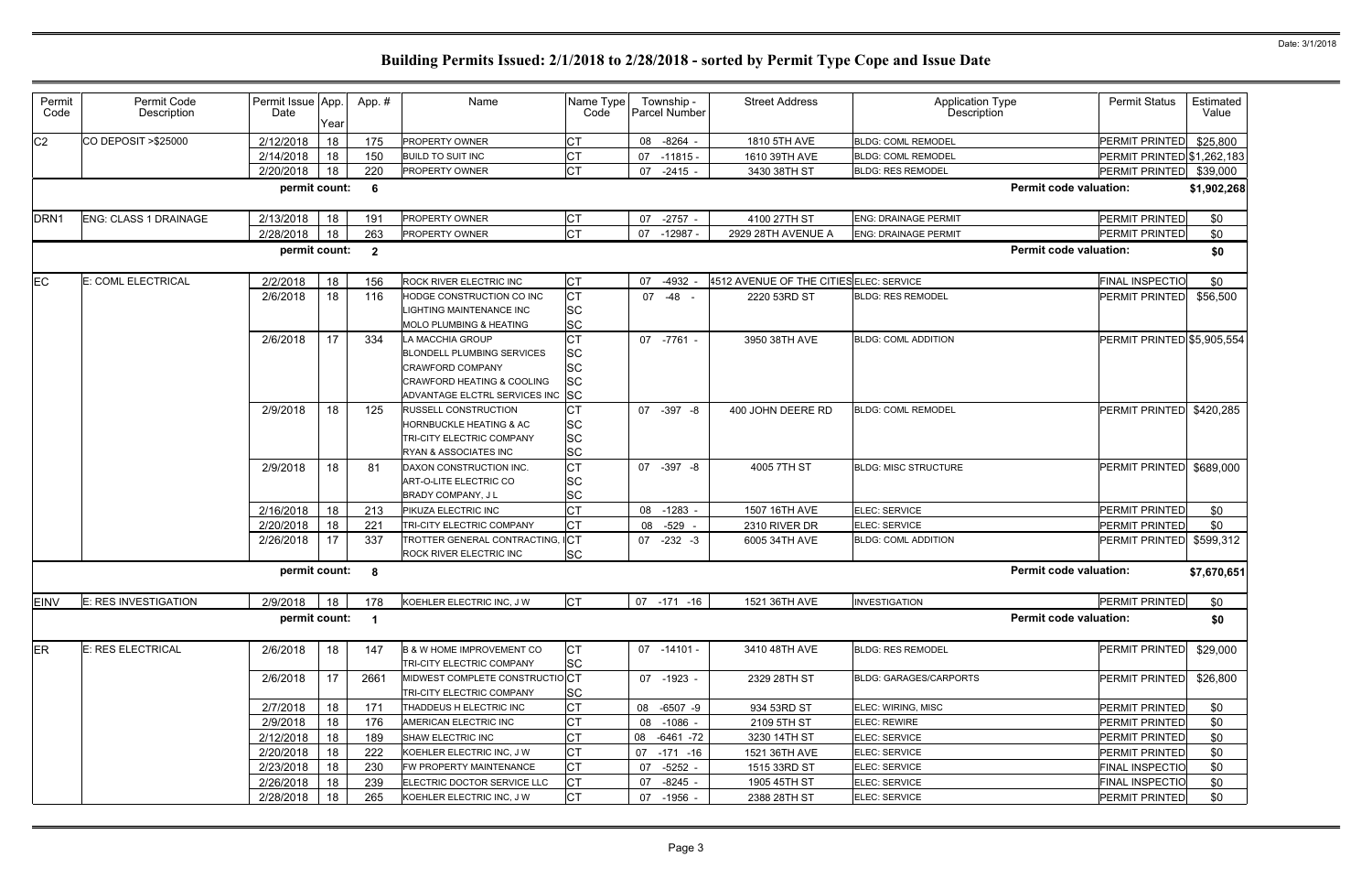| Permit<br>Code | Permit Code<br>Description   | Permit Issue App.<br>Date | Year | App.#        | Name                                                                                                                                            | Name Type<br>Code                               | Township -<br>Parcel Number | <b>Street Address</b>                   | Application Type<br>Description | <b>Permit Status</b>              | Estimated<br>Value |
|----------------|------------------------------|---------------------------|------|--------------|-------------------------------------------------------------------------------------------------------------------------------------------------|-------------------------------------------------|-----------------------------|-----------------------------------------|---------------------------------|-----------------------------------|--------------------|
| C <sub>2</sub> | CO DEPOSIT > \$25000         | 2/12/2018                 | 18   | 175          | <b>PROPERTY OWNER</b>                                                                                                                           | <b>CT</b>                                       | $-8264 -$<br>08             | 1810 5TH AVE                            | <b>BLDG: COML REMODEL</b>       | PERMIT PRINTED                    | \$25,800           |
|                |                              | 2/14/2018                 | 18   | 150          | <b>BUILD TO SUIT INC</b>                                                                                                                        | <b>CT</b>                                       | $-11815 -$<br>07            | 1610 39TH AVE                           | <b>BLDG: COML REMODEL</b>       | <b>PERMIT PRINTED \$1,262,183</b> |                    |
|                |                              | 2/20/2018                 | 18   | 220          | PROPERTY OWNER                                                                                                                                  | <b>CT</b>                                       | $-2415 -$<br>07             | 3430 38TH ST                            | <b>BLDG: RES REMODEL</b>        | PERMIT PRINTED                    | \$39,000           |
|                |                              | permit count:             |      | 6            |                                                                                                                                                 |                                                 |                             |                                         | <b>Permit code valuation:</b>   |                                   | \$1,902,268        |
| <b>IDRN1</b>   | <b>ENG: CLASS 1 DRAINAGE</b> | 2/13/2018                 | 18   | 191          | <b>PROPERTY OWNER</b>                                                                                                                           | <b>CT</b>                                       | $-2757 -$<br>07             | 4100 27TH ST                            | <b>ENG: DRAINAGE PERMIT</b>     | PERMIT PRINTED                    | \$0                |
|                |                              | 2/28/2018                 | 18   | 263          | PROPERTY OWNER                                                                                                                                  | <b>CT</b>                                       | $-12987$<br>07              | 2929 28TH AVENUE A                      | <b>ENG: DRAINAGE PERMIT</b>     | PERMIT PRINTED                    | \$0                |
|                |                              | permit count:             |      | $\mathbf{2}$ |                                                                                                                                                 |                                                 |                             |                                         | <b>Permit code valuation:</b>   |                                   | \$0                |
| EC             | E: COML ELECTRICAL           | 2/2/2018                  | 18   | 156          | <b>ROCK RIVER ELECTRIC INC</b>                                                                                                                  | <b>CT</b>                                       | $-4932 -$<br>07             | 4512 AVENUE OF THE CITIES ELEC: SERVICE |                                 | FINAL INSPECTIO                   | \$0                |
|                |                              | 2/6/2018                  | 18   | 116          | HODGE CONSTRUCTION CO INC<br>LIGHTING MAINTENANCE INC<br><b>MOLO PLUMBING &amp; HEATING</b>                                                     | <b>CT</b><br><b>SC</b><br><b>SC</b>             | 07<br>-48 -                 | 2220 53RD ST                            | <b>BLDG: RES REMODEL</b>        | <b>PERMIT PRINTED</b>             | \$56,500           |
|                |                              | 2/6/2018                  | 17   | 334          | LA MACCHIA GROUP<br><b>BLONDELL PLUMBING SERVICES</b><br><b>CRAWFORD COMPANY</b><br>CRAWFORD HEATING & COOLING<br>ADVANTAGE ELCTRL SERVICES INC | <b>CT</b><br>SC<br>SC<br><b>SC</b><br><b>SC</b> | 07 -7761 -                  | 3950 38TH AVE                           | <b>BLDG: COML ADDITION</b>      | PERMIT PRINTED \$5,905,554        |                    |
|                |                              | 2/9/2018                  | 18   | 125          | <b>RUSSELL CONSTRUCTION</b><br><b>HORNBUCKLE HEATING &amp; AC</b><br><b>TRI-CITY ELECTRIC COMPANY</b><br><b>RYAN &amp; ASSOCIATES INC</b>       | СT<br>SC<br><b>SC</b><br>SC                     | $-397 - 8$<br>07            | 400 JOHN DEERE RD                       | <b>BLDG: COML REMODEL</b>       | PERMIT PRINTED \$420,285          |                    |
|                |                              | 2/9/2018                  | 18   | 81           | DAXON CONSTRUCTION INC.<br>ART-O-LITE ELECTRIC CO<br>BRADY COMPANY, J L                                                                         | <b>CT</b><br>SC<br><b>SC</b>                    | 07<br>-397 -8               | 4005 7TH ST                             | <b>BLDG: MISC STRUCTURE</b>     | PERMIT PRINTED                    | \$689,000          |
|                |                              | 2/16/2018                 | 18   | 213          | PIKUZA ELECTRIC INC                                                                                                                             | <b>CT</b>                                       | 08<br>$-1283$               | 1507 16TH AVE                           | ELEC: SERVICE                   | PERMIT PRINTED                    | \$0                |
|                |                              | 2/20/2018                 | 18   | 221          | <b>TRI-CITY ELECTRIC COMPANY</b>                                                                                                                | <b>CT</b>                                       | 08<br>$-529$                | 2310 RIVER DR                           | ELEC: SERVICE                   | PERMIT PRINTED                    | \$0                |
|                |                              | 2/26/2018                 | 17   | 337          | TROTTER GENERAL CONTRACTING, ICT<br>ROCK RIVER ELECTRIC INC                                                                                     | <b>SC</b>                                       | $-232 - 3$<br>07            | 6005 34TH AVE                           | <b>BLDG: COML ADDITION</b>      | PERMIT PRINTED \$599,312          |                    |
|                |                              | permit count:             |      | 8            |                                                                                                                                                 |                                                 |                             |                                         | <b>Permit code valuation:</b>   |                                   | \$7,670,651        |
| <b>EINV</b>    | E: RES INVESTIGATION         | 2/9/2018                  | 18   | 178          | KOEHLER ELECTRIC INC, J W                                                                                                                       | <b>CT</b>                                       | 07 -171 -16                 | 1521 36TH AVE                           | <b>INVESTIGATION</b>            | PERMIT PRINTED                    | \$0                |
|                |                              | permit count: 1           |      |              |                                                                                                                                                 |                                                 |                             |                                         | <b>Permit code valuation:</b>   |                                   | \$0                |
| ER             | E: RES ELECTRICAL            | 2/6/2018                  | 18   | 147          | <b>B &amp; W HOME IMPROVEMENT CO</b><br>TRI-CITY ELECTRIC COMPANY                                                                               | <b>CT</b><br><b>SC</b>                          | $07 - 14101 -$              | 3410 48TH AVE                           | <b>BLDG: RES REMODEL</b>        | <b>PERMIT PRINTED</b>             | \$29,000           |
|                |                              | 2/6/2018                  | 17   | 2661         | MIDWEST COMPLETE CONSTRUCTIOCT<br>TRI-CITY ELECTRIC COMPANY                                                                                     | <b>SC</b>                                       | 07 -1923 -                  | 2329 28TH ST                            | <b>BLDG: GARAGES/CARPORTS</b>   | PERMIT PRINTED                    | \$26,800           |
|                |                              | 2/7/2018                  | 18   | 171          | THADDEUS H ELECTRIC INC                                                                                                                         | <b>CT</b>                                       | $-6507 -9$<br>08            | 934 53RD ST                             | ELEC: WIRING, MISC              | PERMIT PRINTED                    | \$0                |
|                |                              | 2/9/2018                  | 18   | 176          | AMERICAN ELECTRIC INC                                                                                                                           | <b>CT</b>                                       | $-1086 -$<br>80             | 2109 5TH ST                             | <b>ELEC: REWIRE</b>             | PERMIT PRINTED                    | \$0                |
|                |                              | 2/12/2018                 | 18   | 189          | SHAW ELECTRIC INC                                                                                                                               | СT                                              | 08 -6461 -72                | 3230 14TH ST                            | ELEC: SERVICE                   | PERMIT PRINTED                    | \$0                |
|                |                              | 2/20/2018                 | 18   | 222          | KOEHLER ELECTRIC INC, J W                                                                                                                       | <b>CT</b>                                       | $-171 - 16$<br>07           | 1521 36TH AVE                           | ELEC: SERVICE                   | PERMIT PRINTED                    | \$0                |
|                |                              | 2/23/2018                 | 18   | 230          | FW PROPERTY MAINTENANCE                                                                                                                         | <b>CT</b>                                       | -5252 -<br>07               | 1515 33RD ST                            | ELEC: SERVICE                   | <b>FINAL INSPECTIO</b>            | \$0                |
|                |                              | 2/26/2018                 | 18   | 239          | ELECTRIC DOCTOR SERVICE LLC                                                                                                                     | <b>CT</b>                                       | 07<br>$-8245 -$             | 1905 45TH ST                            | ELEC: SERVICE                   | <b>FINAL INSPECTIO</b>            | \$0                |
|                |                              | 2/28/2018                 | 18   | 265          | KOEHLER ELECTRIC INC, J W                                                                                                                       | <b>CT</b>                                       | 07 -1956 -                  | 2388 28TH ST                            | ELEC: SERVICE                   | <b>PERMIT PRINTED</b>             | \$0                |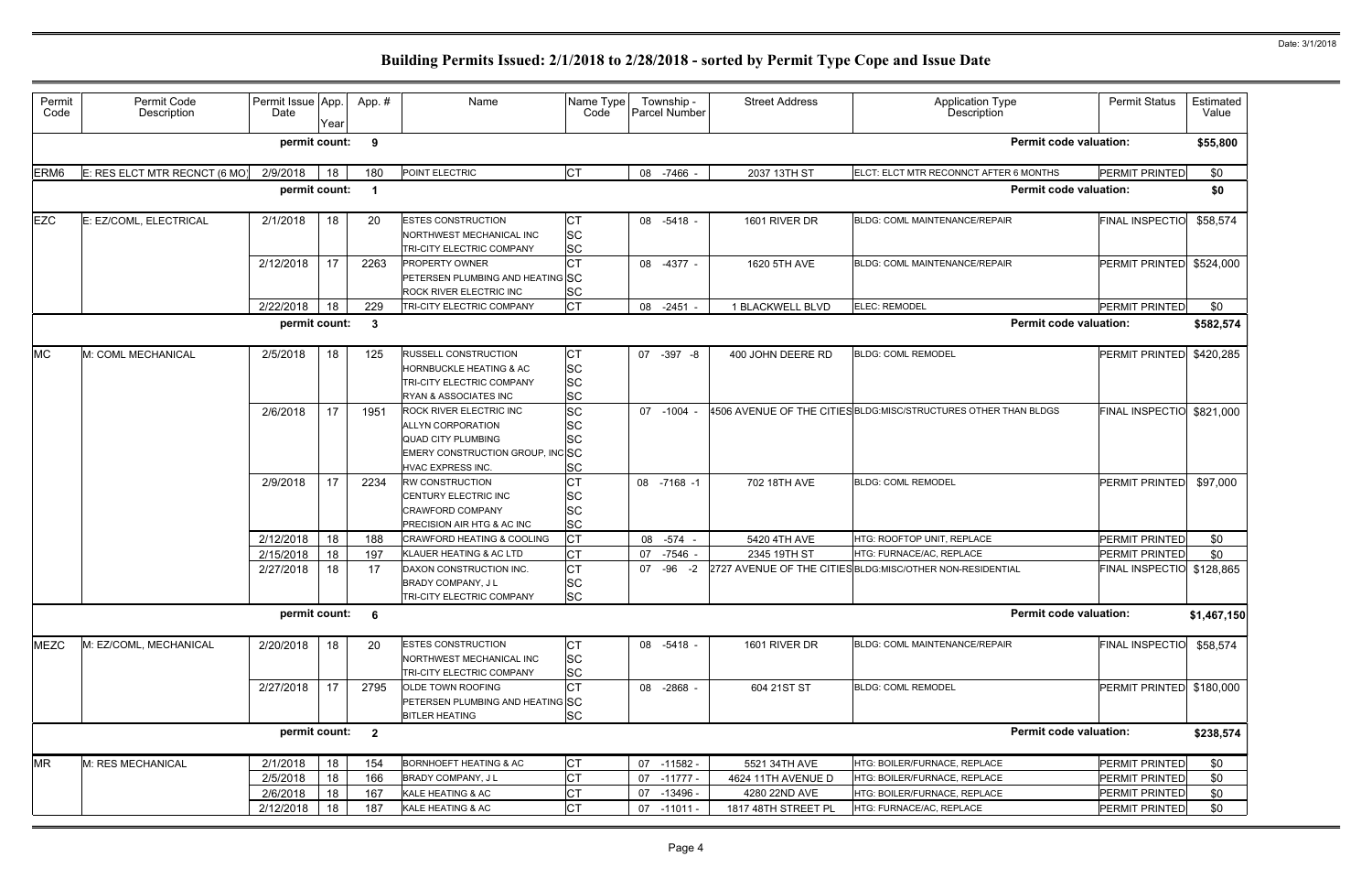| <b>Permit code valuation:</b><br>permit count:<br>9<br>E: RES ELCT MTR RECNCT (6 MO)<br>2/9/2018<br><b>CT</b><br>ERM <sub>6</sub><br>18<br>POINT ELECTRIC<br>08 -7466 -<br>2037 13TH ST<br>ELCT: ELCT MTR RECONNCT AFTER 6 MONTHS<br>180<br>permit count:<br><b>Permit code valuation:</b><br><b>EZC</b><br>E: EZ/COML, ELECTRICAL<br>2/1/2018<br>СT<br>1601 RIVER DR<br>18<br>20<br><b>ESTES CONSTRUCTION</b><br>08 -5418 -<br>BLDG: COML MAINTENANCE/REPAIR<br><b>SC</b><br>NORTHWEST MECHANICAL INC<br><b>SC</b><br>TRI-CITY ELECTRIC COMPANY<br><b>CT</b><br>17<br>2/12/2018<br>2263<br>1620 5TH AVE<br>08 -4377 -<br><b>PROPERTY OWNER</b><br>BLDG: COML MAINTENANCE/REPAIR<br>PETERSEN PLUMBING AND HEATING SC<br><b>SC</b><br>ROCK RIVER ELECTRIC INC<br><b>CT</b><br>2/22/2018<br>18<br>ELEC: REMODEL<br>229<br>TRI-CITY ELECTRIC COMPANY<br>08 -2451<br>1 BLACKWELL BLVD<br><b>Permit code valuation:</b><br>permit count:<br>-3<br>M: COML MECHANICAL<br>2/5/2018<br><b>RUSSELL CONSTRUCTION</b><br>07 -397 -8<br>400 JOHN DEERE RD<br><b>BLDG: COML REMODEL</b><br>18<br>125<br>СT<br><b>SC</b><br><b>HORNBUCKLE HEATING &amp; AC</b><br><b>SC</b><br>TRI-CITY ELECTRIC COMPANY<br><b>SC</b><br>RYAN & ASSOCIATES INC<br><b>SC</b><br>17<br>2/6/2018<br>$-1004 -$<br>4506 AVENUE OF THE CITIES BLDG:MISC/STRUCTURES OTHER THAN BLDGS<br>1951<br><b>ROCK RIVER ELECTRIC INC</b><br>07<br><b>SC</b><br><b>ALLYN CORPORATION</b><br><b>SC</b><br><b>QUAD CITY PLUMBING</b><br>EMERY CONSTRUCTION GROUP, INCSC<br>SC<br>HVAC EXPRESS INC.<br>17<br>СT<br>2/9/2018<br>RW CONSTRUCTION<br><b>BLDG: COML REMODEL</b><br>2234<br>08 -7168 -1<br>702 18TH AVE<br>SC<br>CENTURY ELECTRIC INC<br><b>SC</b><br><b>CRAWFORD COMPANY</b><br><b>SC</b><br>PRECISION AIR HTG & AC INC<br><b>CT</b><br>18<br>2/12/2018<br>$-574$<br>5420 4TH AVE<br>188<br>08<br>HTG: ROOFTOP UNIT, REPLACE<br>CRAWFORD HEATING & COOLING<br>18<br><b>CT</b><br>2/15/2018<br>197<br>KLAUER HEATING & AC LTD<br>-7546 -<br>HTG: FURNACE/AC, REPLACE<br>2345 19TH ST<br>07<br><b>CT</b><br>2/27/2018<br>18<br>17<br>DAXON CONSTRUCTION INC.<br>$-96$<br>2727 AVENUE OF THE CITIES BLDG: MISC/OTHER NON-RESIDENTIAL<br>07<br>$-2$<br><b>SC</b><br>BRADY COMPANY, J L<br><b>SC</b><br>TRI-CITY ELECTRIC COMPANY<br><b>Permit code valuation:</b><br>permit count:<br>- 6<br>M: EZ/COML, MECHANICAL<br>2/20/2018<br>1601 RIVER DR<br>20<br>СT<br>08 -5418 -<br>18<br><b>ESTES CONSTRUCTION</b><br>BLDG: COML MAINTENANCE/REPAIR<br><b>SC</b><br>NORTHWEST MECHANICAL INC<br><b>SC</b><br>TRI-CITY ELECTRIC COMPANY<br>17<br><b>CT</b><br>2/27/2018<br>2795<br>08 -2868 -<br>604 21ST ST<br><b>BLDG: COML REMODEL</b><br>OLDE TOWN ROOFING<br>PETERSEN PLUMBING AND HEATING SC<br><b>SC</b><br><b>BITLER HEATING</b><br><b>Permit code valuation:</b><br>permit count:<br>$\mathbf{2}$<br><b>CT</b><br>18<br>M: RES MECHANICAL<br>2/1/2018<br>BORNHOEFT HEATING & AC<br>07<br>-11582 -<br>5521 34TH AVE<br>HTG: BOILER/FURNACE, REPLACE<br>154<br><b>CT</b><br>2/5/2018<br>18<br>166<br>$-11777-$<br>HTG: BOILER/FURNACE, REPLACE<br>BRADY COMPANY, J L<br>07<br>4624 11TH AVENUE D<br>СT<br>18<br>2/6/2018<br>167<br>KALE HEATING & AC<br>07<br>-13496 -<br>4280 22ND AVE<br>HTG: BOILER/FURNACE, REPLACE | Permit<br>Code | Permit Code<br>Description | Permit Issue App<br>Date | Year | App.# | Name | Name Type<br>Code | Township -<br><b>Parcel Number</b> | <b>Street Address</b> | Application Type<br>Description | <b>Permit Status</b>      | Estimated<br>Value |  |  |
|--------------------------------------------------------------------------------------------------------------------------------------------------------------------------------------------------------------------------------------------------------------------------------------------------------------------------------------------------------------------------------------------------------------------------------------------------------------------------------------------------------------------------------------------------------------------------------------------------------------------------------------------------------------------------------------------------------------------------------------------------------------------------------------------------------------------------------------------------------------------------------------------------------------------------------------------------------------------------------------------------------------------------------------------------------------------------------------------------------------------------------------------------------------------------------------------------------------------------------------------------------------------------------------------------------------------------------------------------------------------------------------------------------------------------------------------------------------------------------------------------------------------------------------------------------------------------------------------------------------------------------------------------------------------------------------------------------------------------------------------------------------------------------------------------------------------------------------------------------------------------------------------------------------------------------------------------------------------------------------------------------------------------------------------------------------------------------------------------------------------------------------------------------------------------------------------------------------------------------------------------------------------------------------------------------------------------------------------------------------------------------------------------------------------------------------------------------------------------------------------------------------------------------------------------------------------------------------------------------------------------------------------------------------------------------------------------------------------------------------------------------------------------------------------------------------------------------------------------------------------------------------------------------------------------------------------------------------------------------------------------------------------------------------------------------------------------------------------------------------------------------------------------------------------------------------------------------------------------------------------------------------------------------|----------------|----------------------------|--------------------------|------|-------|------|-------------------|------------------------------------|-----------------------|---------------------------------|---------------------------|--------------------|--|--|
|                                                                                                                                                                                                                                                                                                                                                                                                                                                                                                                                                                                                                                                                                                                                                                                                                                                                                                                                                                                                                                                                                                                                                                                                                                                                                                                                                                                                                                                                                                                                                                                                                                                                                                                                                                                                                                                                                                                                                                                                                                                                                                                                                                                                                                                                                                                                                                                                                                                                                                                                                                                                                                                                                                                                                                                                                                                                                                                                                                                                                                                                                                                                                                                                                                                                                |                |                            |                          |      |       |      |                   |                                    |                       |                                 |                           | \$55,800           |  |  |
|                                                                                                                                                                                                                                                                                                                                                                                                                                                                                                                                                                                                                                                                                                                                                                                                                                                                                                                                                                                                                                                                                                                                                                                                                                                                                                                                                                                                                                                                                                                                                                                                                                                                                                                                                                                                                                                                                                                                                                                                                                                                                                                                                                                                                                                                                                                                                                                                                                                                                                                                                                                                                                                                                                                                                                                                                                                                                                                                                                                                                                                                                                                                                                                                                                                                                |                |                            |                          |      |       |      |                   |                                    |                       |                                 | PERMIT PRINTED            | \$0                |  |  |
|                                                                                                                                                                                                                                                                                                                                                                                                                                                                                                                                                                                                                                                                                                                                                                                                                                                                                                                                                                                                                                                                                                                                                                                                                                                                                                                                                                                                                                                                                                                                                                                                                                                                                                                                                                                                                                                                                                                                                                                                                                                                                                                                                                                                                                                                                                                                                                                                                                                                                                                                                                                                                                                                                                                                                                                                                                                                                                                                                                                                                                                                                                                                                                                                                                                                                | \$0            |                            |                          |      |       |      |                   |                                    |                       |                                 |                           |                    |  |  |
| <b>MC</b><br><b>MEZC</b><br><b>MR</b>                                                                                                                                                                                                                                                                                                                                                                                                                                                                                                                                                                                                                                                                                                                                                                                                                                                                                                                                                                                                                                                                                                                                                                                                                                                                                                                                                                                                                                                                                                                                                                                                                                                                                                                                                                                                                                                                                                                                                                                                                                                                                                                                                                                                                                                                                                                                                                                                                                                                                                                                                                                                                                                                                                                                                                                                                                                                                                                                                                                                                                                                                                                                                                                                                                          |                |                            |                          |      |       |      |                   |                                    |                       |                                 | <b>FINAL INSPECTIO</b>    | \$58,574           |  |  |
|                                                                                                                                                                                                                                                                                                                                                                                                                                                                                                                                                                                                                                                                                                                                                                                                                                                                                                                                                                                                                                                                                                                                                                                                                                                                                                                                                                                                                                                                                                                                                                                                                                                                                                                                                                                                                                                                                                                                                                                                                                                                                                                                                                                                                                                                                                                                                                                                                                                                                                                                                                                                                                                                                                                                                                                                                                                                                                                                                                                                                                                                                                                                                                                                                                                                                |                |                            |                          |      |       |      |                   |                                    |                       |                                 | PERMIT PRINTED \$524,000  |                    |  |  |
|                                                                                                                                                                                                                                                                                                                                                                                                                                                                                                                                                                                                                                                                                                                                                                                                                                                                                                                                                                                                                                                                                                                                                                                                                                                                                                                                                                                                                                                                                                                                                                                                                                                                                                                                                                                                                                                                                                                                                                                                                                                                                                                                                                                                                                                                                                                                                                                                                                                                                                                                                                                                                                                                                                                                                                                                                                                                                                                                                                                                                                                                                                                                                                                                                                                                                |                |                            |                          |      |       |      |                   |                                    |                       |                                 | PERMIT PRINTED            | \$0                |  |  |
|                                                                                                                                                                                                                                                                                                                                                                                                                                                                                                                                                                                                                                                                                                                                                                                                                                                                                                                                                                                                                                                                                                                                                                                                                                                                                                                                                                                                                                                                                                                                                                                                                                                                                                                                                                                                                                                                                                                                                                                                                                                                                                                                                                                                                                                                                                                                                                                                                                                                                                                                                                                                                                                                                                                                                                                                                                                                                                                                                                                                                                                                                                                                                                                                                                                                                |                |                            |                          |      |       |      |                   |                                    |                       |                                 |                           | \$582,574          |  |  |
|                                                                                                                                                                                                                                                                                                                                                                                                                                                                                                                                                                                                                                                                                                                                                                                                                                                                                                                                                                                                                                                                                                                                                                                                                                                                                                                                                                                                                                                                                                                                                                                                                                                                                                                                                                                                                                                                                                                                                                                                                                                                                                                                                                                                                                                                                                                                                                                                                                                                                                                                                                                                                                                                                                                                                                                                                                                                                                                                                                                                                                                                                                                                                                                                                                                                                |                |                            |                          |      |       |      |                   |                                    |                       |                                 | PERMIT PRINTED            | \$420,285          |  |  |
|                                                                                                                                                                                                                                                                                                                                                                                                                                                                                                                                                                                                                                                                                                                                                                                                                                                                                                                                                                                                                                                                                                                                                                                                                                                                                                                                                                                                                                                                                                                                                                                                                                                                                                                                                                                                                                                                                                                                                                                                                                                                                                                                                                                                                                                                                                                                                                                                                                                                                                                                                                                                                                                                                                                                                                                                                                                                                                                                                                                                                                                                                                                                                                                                                                                                                |                |                            |                          |      |       |      |                   |                                    |                       |                                 | FINAL INSPECTIO \$821,000 |                    |  |  |
|                                                                                                                                                                                                                                                                                                                                                                                                                                                                                                                                                                                                                                                                                                                                                                                                                                                                                                                                                                                                                                                                                                                                                                                                                                                                                                                                                                                                                                                                                                                                                                                                                                                                                                                                                                                                                                                                                                                                                                                                                                                                                                                                                                                                                                                                                                                                                                                                                                                                                                                                                                                                                                                                                                                                                                                                                                                                                                                                                                                                                                                                                                                                                                                                                                                                                |                |                            |                          |      |       |      |                   |                                    |                       |                                 | <b>PERMIT PRINTED</b>     | \$97,000           |  |  |
|                                                                                                                                                                                                                                                                                                                                                                                                                                                                                                                                                                                                                                                                                                                                                                                                                                                                                                                                                                                                                                                                                                                                                                                                                                                                                                                                                                                                                                                                                                                                                                                                                                                                                                                                                                                                                                                                                                                                                                                                                                                                                                                                                                                                                                                                                                                                                                                                                                                                                                                                                                                                                                                                                                                                                                                                                                                                                                                                                                                                                                                                                                                                                                                                                                                                                |                |                            |                          |      |       |      |                   |                                    |                       |                                 | PERMIT PRINTED            | \$0                |  |  |
|                                                                                                                                                                                                                                                                                                                                                                                                                                                                                                                                                                                                                                                                                                                                                                                                                                                                                                                                                                                                                                                                                                                                                                                                                                                                                                                                                                                                                                                                                                                                                                                                                                                                                                                                                                                                                                                                                                                                                                                                                                                                                                                                                                                                                                                                                                                                                                                                                                                                                                                                                                                                                                                                                                                                                                                                                                                                                                                                                                                                                                                                                                                                                                                                                                                                                |                |                            |                          |      |       |      |                   |                                    |                       |                                 | PERMIT PRINTED            | \$0                |  |  |
|                                                                                                                                                                                                                                                                                                                                                                                                                                                                                                                                                                                                                                                                                                                                                                                                                                                                                                                                                                                                                                                                                                                                                                                                                                                                                                                                                                                                                                                                                                                                                                                                                                                                                                                                                                                                                                                                                                                                                                                                                                                                                                                                                                                                                                                                                                                                                                                                                                                                                                                                                                                                                                                                                                                                                                                                                                                                                                                                                                                                                                                                                                                                                                                                                                                                                |                |                            |                          |      |       |      |                   |                                    |                       |                                 | FINAL INSPECTIO \$128,865 |                    |  |  |
|                                                                                                                                                                                                                                                                                                                                                                                                                                                                                                                                                                                                                                                                                                                                                                                                                                                                                                                                                                                                                                                                                                                                                                                                                                                                                                                                                                                                                                                                                                                                                                                                                                                                                                                                                                                                                                                                                                                                                                                                                                                                                                                                                                                                                                                                                                                                                                                                                                                                                                                                                                                                                                                                                                                                                                                                                                                                                                                                                                                                                                                                                                                                                                                                                                                                                |                |                            |                          |      |       |      |                   |                                    |                       |                                 |                           | \$1,467,150        |  |  |
|                                                                                                                                                                                                                                                                                                                                                                                                                                                                                                                                                                                                                                                                                                                                                                                                                                                                                                                                                                                                                                                                                                                                                                                                                                                                                                                                                                                                                                                                                                                                                                                                                                                                                                                                                                                                                                                                                                                                                                                                                                                                                                                                                                                                                                                                                                                                                                                                                                                                                                                                                                                                                                                                                                                                                                                                                                                                                                                                                                                                                                                                                                                                                                                                                                                                                |                |                            |                          |      |       |      |                   |                                    |                       |                                 | <b>FINAL INSPECTIO</b>    | \$58,574           |  |  |
|                                                                                                                                                                                                                                                                                                                                                                                                                                                                                                                                                                                                                                                                                                                                                                                                                                                                                                                                                                                                                                                                                                                                                                                                                                                                                                                                                                                                                                                                                                                                                                                                                                                                                                                                                                                                                                                                                                                                                                                                                                                                                                                                                                                                                                                                                                                                                                                                                                                                                                                                                                                                                                                                                                                                                                                                                                                                                                                                                                                                                                                                                                                                                                                                                                                                                |                |                            |                          |      |       |      |                   |                                    |                       |                                 | PERMIT PRINTED \$180,000  |                    |  |  |
|                                                                                                                                                                                                                                                                                                                                                                                                                                                                                                                                                                                                                                                                                                                                                                                                                                                                                                                                                                                                                                                                                                                                                                                                                                                                                                                                                                                                                                                                                                                                                                                                                                                                                                                                                                                                                                                                                                                                                                                                                                                                                                                                                                                                                                                                                                                                                                                                                                                                                                                                                                                                                                                                                                                                                                                                                                                                                                                                                                                                                                                                                                                                                                                                                                                                                |                |                            |                          |      |       |      |                   |                                    |                       |                                 |                           | \$238,574          |  |  |
|                                                                                                                                                                                                                                                                                                                                                                                                                                                                                                                                                                                                                                                                                                                                                                                                                                                                                                                                                                                                                                                                                                                                                                                                                                                                                                                                                                                                                                                                                                                                                                                                                                                                                                                                                                                                                                                                                                                                                                                                                                                                                                                                                                                                                                                                                                                                                                                                                                                                                                                                                                                                                                                                                                                                                                                                                                                                                                                                                                                                                                                                                                                                                                                                                                                                                |                |                            |                          |      |       |      |                   |                                    |                       |                                 | PERMIT PRINTED            | \$0                |  |  |
|                                                                                                                                                                                                                                                                                                                                                                                                                                                                                                                                                                                                                                                                                                                                                                                                                                                                                                                                                                                                                                                                                                                                                                                                                                                                                                                                                                                                                                                                                                                                                                                                                                                                                                                                                                                                                                                                                                                                                                                                                                                                                                                                                                                                                                                                                                                                                                                                                                                                                                                                                                                                                                                                                                                                                                                                                                                                                                                                                                                                                                                                                                                                                                                                                                                                                |                |                            |                          |      |       |      |                   |                                    |                       |                                 | PERMIT PRINTED            | \$0                |  |  |
|                                                                                                                                                                                                                                                                                                                                                                                                                                                                                                                                                                                                                                                                                                                                                                                                                                                                                                                                                                                                                                                                                                                                                                                                                                                                                                                                                                                                                                                                                                                                                                                                                                                                                                                                                                                                                                                                                                                                                                                                                                                                                                                                                                                                                                                                                                                                                                                                                                                                                                                                                                                                                                                                                                                                                                                                                                                                                                                                                                                                                                                                                                                                                                                                                                                                                |                |                            |                          |      |       |      |                   |                                    |                       |                                 | PERMIT PRINTED            | \$0                |  |  |
| <b>CT</b><br>2/12/2018<br>18<br>187<br>KALE HEATING & AC<br>-11011 -<br>1817 48TH STREET PL<br>HTG: FURNACE/AC, REPLACE<br>07                                                                                                                                                                                                                                                                                                                                                                                                                                                                                                                                                                                                                                                                                                                                                                                                                                                                                                                                                                                                                                                                                                                                                                                                                                                                                                                                                                                                                                                                                                                                                                                                                                                                                                                                                                                                                                                                                                                                                                                                                                                                                                                                                                                                                                                                                                                                                                                                                                                                                                                                                                                                                                                                                                                                                                                                                                                                                                                                                                                                                                                                                                                                                  |                |                            |                          |      |       |      |                   |                                    |                       |                                 | PERMIT PRINTED            | \$0                |  |  |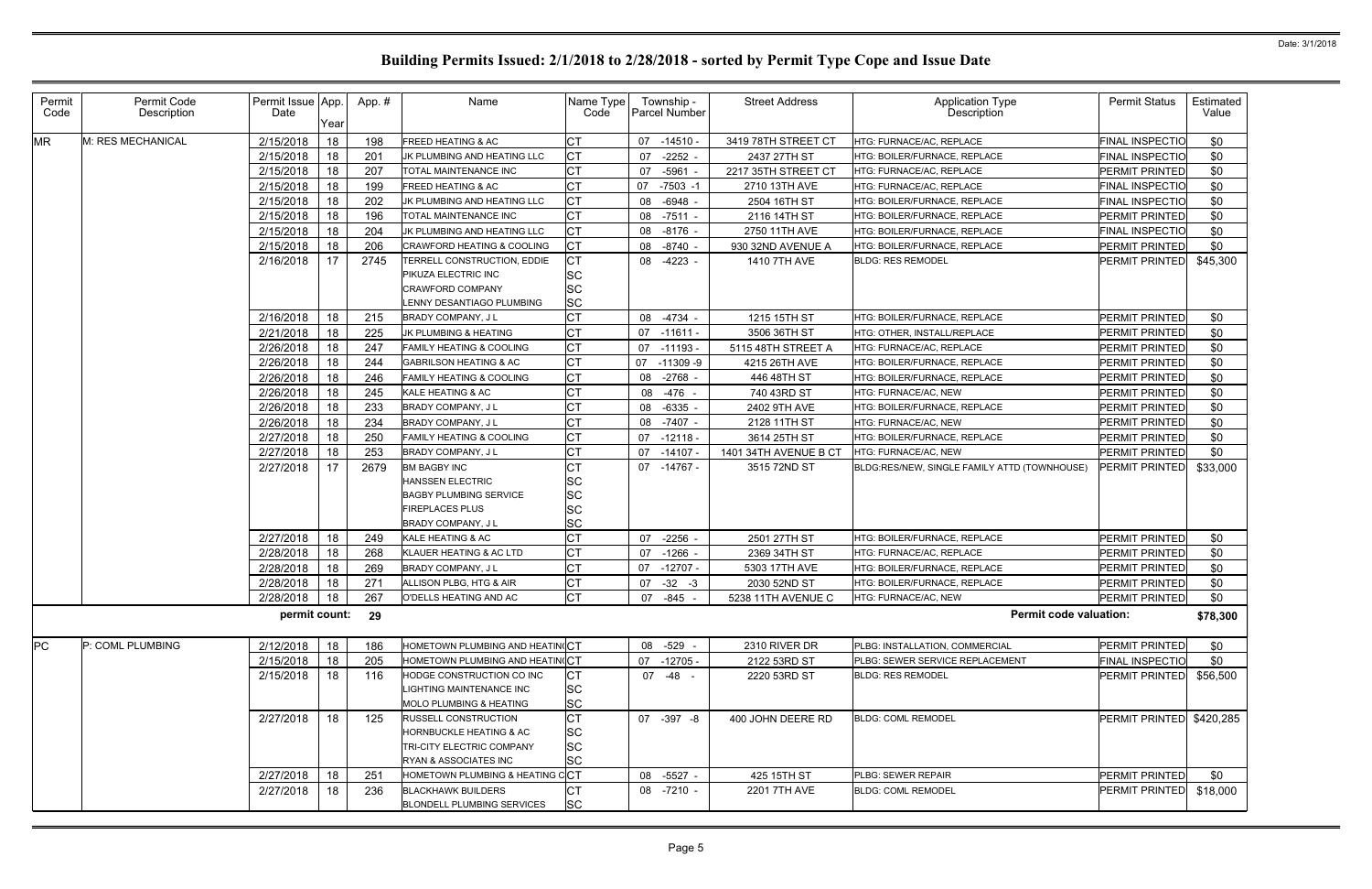| Permit<br>Code | Permit Code<br>Description | Permit Issue App.<br>Date | Year | App.# | Name                                                                                                      | Name Type<br>Code                  | Township -<br><b>Parcel Number</b> | <b>Street Address</b> | Application Type<br>Description              | <b>Permit Status</b>     | Estimated<br>Value |
|----------------|----------------------------|---------------------------|------|-------|-----------------------------------------------------------------------------------------------------------|------------------------------------|------------------------------------|-----------------------|----------------------------------------------|--------------------------|--------------------|
| <b>MR</b>      | M: RES MECHANICAL          | 2/15/2018                 | 18   | 198   | FREED HEATING & AC                                                                                        | <b>CT</b>                          | -14510 -<br>07                     | 3419 78TH STREET CT   | HTG: FURNACE/AC, REPLACE                     | <b>FINAL INSPECTIO</b>   | \$0                |
|                |                            | 2/15/2018                 | 18   | 201   | JK PLUMBING AND HEATING LLC                                                                               | <b>CT</b>                          | $-2252 -$<br>07                    | 2437 27TH ST          | HTG: BOILER/FURNACE, REPLACE                 | FINAL INSPECTIO          | \$0                |
|                |                            | 2/15/2018                 | 18   | 207   | TOTAL MAINTENANCE INC                                                                                     | <b>CT</b>                          | $-5961 -$<br>07                    | 2217 35TH STREET CT   | HTG: FURNACE/AC. REPLACE                     | PERMIT PRINTED           | \$0                |
|                |                            | 2/15/2018                 | 18   | 199   | FREED HEATING & AC                                                                                        | <b>CT</b>                          | $-7503 - 1$<br>07                  | 2710 13TH AVE         | HTG: FURNACE/AC, REPLACE                     | FINAL INSPECTIO          | \$0                |
|                |                            | 2/15/2018                 | 18   | 202   | JK PLUMBING AND HEATING LLC                                                                               | <b>CT</b>                          | $-6948 -$<br>08                    | 2504 16TH ST          | HTG: BOILER/FURNACE, REPLACE                 | FINAL INSPECTIO          | \$0                |
|                |                            | 2/15/2018                 | 18   | 196   | TOTAL MAINTENANCE INC                                                                                     | <b>CT</b>                          | 08<br>$-7511 -$                    | 2116 14TH ST          | HTG: BOILER/FURNACE, REPLACE                 | PERMIT PRINTED           | \$0                |
|                |                            | 2/15/2018                 | 18   | 204   | JK PLUMBING AND HEATING LLC                                                                               | <b>CT</b>                          | $-8176 -$<br>08                    | 2750 11TH AVE         | HTG: BOILER/FURNACE, REPLACE                 | FINAL INSPECTIO          | \$0                |
|                |                            | 2/15/2018                 | 18   | 206   | CRAWFORD HEATING & COOLING                                                                                | <b>CT</b>                          | 08<br>$-8740 -$                    | 930 32ND AVENUE A     | HTG: BOILER/FURNACE, REPLACE                 | <b>PERMIT PRINTED</b>    | \$0                |
|                |                            | 2/16/2018                 | 17   | 2745  | TERRELL CONSTRUCTION, EDDIE                                                                               | <b>CT</b>                          | $-4223 -$<br>08                    | 1410 7TH AVE          | <b>BLDG: RES REMODEL</b>                     | PERMIT PRINTED           | \$45,300           |
|                |                            |                           |      |       | PIKUZA ELECTRIC INC                                                                                       | <b>SC</b>                          |                                    |                       |                                              |                          |                    |
|                |                            |                           |      |       | CRAWFORD COMPANY                                                                                          | <b>SC</b>                          |                                    |                       |                                              |                          |                    |
|                |                            |                           |      |       | LENNY DESANTIAGO PLUMBING                                                                                 | <b>SC</b>                          |                                    |                       |                                              |                          |                    |
|                |                            | 2/16/2018                 | 18   | 215   | <b>BRADY COMPANY, JL</b>                                                                                  | <b>CT</b>                          | $-4734 -$<br>08                    | 1215 15TH ST          | HTG: BOILER/FURNACE, REPLACE                 | PERMIT PRINTED           | \$0                |
|                |                            | 2/21/2018                 | 18   | 225   | JK PLUMBING & HEATING                                                                                     | <b>CT</b>                          | $-11611 -$<br>07                   | 3506 36TH ST          | HTG: OTHER, INSTALL/REPLACE                  | <b>PERMIT PRINTED</b>    | \$0                |
|                |                            | 2/26/2018                 | 18   | 247   | FAMILY HEATING & COOLING                                                                                  | <b>CT</b>                          | 07<br>$-11193$                     | 5115 48TH STREET A    | HTG: FURNACE/AC, REPLACE                     | PERMIT PRINTED           | \$0                |
|                |                            | 2/26/2018                 | 18   | 244   | <b>GABRILSON HEATING &amp; AC</b>                                                                         | <b>CT</b>                          | 07<br>$-11309 - 9$                 | 4215 26TH AVE         | HTG: BOILER/FURNACE. REPLACE                 | PERMIT PRINTED           | \$0                |
|                |                            | 2/26/2018                 | 18   | 246   | <b>FAMILY HEATING &amp; COOLING</b>                                                                       | <b>CT</b>                          | $-2768$ -<br>08                    | 446 48TH ST           | HTG: BOILER/FURNACE, REPLACE                 | PERMIT PRINTED           | \$0                |
|                |                            | 2/26/2018                 | 18   | 245   | KALE HEATING & AC                                                                                         | <b>CT</b>                          | -476 -<br>08                       | 740 43RD ST           | HTG: FURNACE/AC, NEW                         | PERMIT PRINTED           | \$0                |
|                |                            | 2/26/2018                 | 18   | 233   | BRADY COMPANY, J L                                                                                        | <b>CT</b>                          | $-6335 -$<br>08                    | 2402 9TH AVE          | HTG: BOILER/FURNACE, REPLACE                 | PERMIT PRINTED           | \$0                |
|                |                            | 2/26/2018                 | 18   | 234   | BRADY COMPANY, J L                                                                                        | <b>CT</b>                          | $-7407 -$<br>08                    | 2128 11TH ST          | HTG: FURNACE/AC, NEW                         | PERMIT PRINTED           | \$0                |
|                |                            | 2/27/2018                 | 18   | 250   | <b>FAMILY HEATING &amp; COOLING</b>                                                                       | <b>CT</b>                          | 07<br>-12118 -                     | 3614 25TH ST          | HTG: BOILER/FURNACE, REPLACE                 | PERMIT PRINTED           | \$0                |
|                |                            | 2/27/2018                 | 18   | 253   | BRADY COMPANY, J L                                                                                        | <b>CT</b>                          | 07<br>$-14107$                     | 1401 34TH AVENUE B CT | HTG: FURNACE/AC, NEW                         | <b>PERMIT PRINTED</b>    | \$0                |
|                |                            | 2/27/2018                 | 17   | 2679  | <b>BM BAGBY INC</b><br><b>HANSSEN ELECTRIC</b><br><b>BAGBY PLUMBING SERVICE</b><br><b>FIREPLACES PLUS</b> | СT<br>SC<br><b>SC</b><br><b>SC</b> | -14767 -<br>07                     | 3515 72ND ST          | BLDG:RES/NEW, SINGLE FAMILY ATTD (TOWNHOUSE) | <b>PERMIT PRINTED</b>    | \$33,000           |
|                |                            |                           |      |       | BRADY COMPANY, J L                                                                                        | <b>SC</b>                          |                                    |                       |                                              |                          |                    |
|                |                            | 2/27/2018                 | 18   | 249   | KALE HEATING & AC                                                                                         | <b>CT</b>                          | $-2256$ -<br>07                    | 2501 27TH ST          | HTG: BOILER/FURNACE, REPLACE                 | PERMIT PRINTED           | \$0                |
|                |                            | 2/28/2018                 | 18   | 268   | KLAUER HEATING & AC LTD                                                                                   | <b>CT</b>                          | 07<br>$-1266$ -                    | 2369 34TH ST          | HTG: FURNACE/AC, REPLACE                     | PERMIT PRINTED           | \$0                |
|                |                            | 2/28/2018                 | 18   | 269   | BRADY COMPANY, J L                                                                                        | СT                                 | $-12707 -$<br>07                   | 5303 17TH AVE         | HTG: BOILER/FURNACE, REPLACE                 | PERMIT PRINTED           | \$0                |
|                |                            | 2/28/2018                 | 18   | 271   | ALLISON PLBG, HTG & AIR                                                                                   | <b>CT</b>                          | $-32 - 3$<br>07                    | 2030 52ND ST          | HTG: BOILER/FURNACE, REPLACE                 | PERMIT PRINTED           | \$0                |
|                |                            | 2/28/2018                 | 18   | 267   | O'DELLS HEATING AND AC                                                                                    | CT                                 | 07 -845 -                          | 5238 11TH AVENUE C    | HTG: FURNACE/AC, NEW                         | <b>PERMIT PRINTED</b>    | \$0                |
|                |                            | permit count: 29          |      |       |                                                                                                           |                                    |                                    |                       | <b>Permit code valuation:</b>                |                          | \$78,300           |
| <b>PC</b>      | P: COML PLUMBING           | 2/12/2018                 | 18   | 186   | HOMETOWN PLUMBING AND HEATIN(CT                                                                           |                                    | -529 -<br>08                       | 2310 RIVER DR         | PLBG: INSTALLATION, COMMERCIAL               | PERMIT PRINTED           | \$0                |
|                |                            | 2/15/2018                 | 18   | 205   | HOMETOWN PLUMBING AND HEATING CT                                                                          |                                    | 07<br>$-12705 -$                   | 2122 53RD ST          | PLBG: SEWER SERVICE REPLACEMENT              | <b>FINAL INSPECTIO</b>   | \$0                |
|                |                            | 2/15/2018                 | 18   | 116   | HODGE CONSTRUCTION CO INC<br>LIGHTING MAINTENANCE INC                                                     | <b>CT</b><br><b>SC</b>             | 07 -48 -                           | 2220 53RD ST          | <b>BLDG: RES REMODEL</b>                     | PERMIT PRINTED           | \$56,500           |
|                |                            |                           |      |       | MOLO PLUMBING & HEATING                                                                                   | <b>SC</b>                          |                                    |                       |                                              |                          |                    |
|                |                            | 2/27/2018                 | 18   | 125   | RUSSELL CONSTRUCTION<br>HORNBUCKLE HEATING & AC                                                           | <b>CT</b><br><b>SC</b>             | 07 -397 -8                         | 400 JOHN DEERE RD     | <b>BLDG: COML REMODEL</b>                    | PERMIT PRINTED \$420,285 |                    |
|                |                            |                           |      |       | TRI-CITY ELECTRIC COMPANY                                                                                 | <b>SC</b>                          |                                    |                       |                                              |                          |                    |
|                |                            |                           |      |       | RYAN & ASSOCIATES INC                                                                                     | <b>SC</b>                          |                                    |                       |                                              |                          |                    |
|                |                            | 2/27/2018                 | 18   | 251   | HOMETOWN PLUMBING & HEATING CCT                                                                           |                                    | 08 -5527 -                         | 425 15TH ST           | PLBG: SEWER REPAIR                           | PERMIT PRINTED           | \$0                |
|                |                            | 2/27/2018                 | 18   | 236   | <b>BLACKHAWK BUILDERS</b><br><b>BLONDELL PLUMBING SERVICES</b>                                            | СT<br><b>SC</b>                    | 08 -7210 -                         | 2201 7TH AVE          | <b>BLDG: COML REMODEL</b>                    | PERMIT PRINTED           | \$18,000           |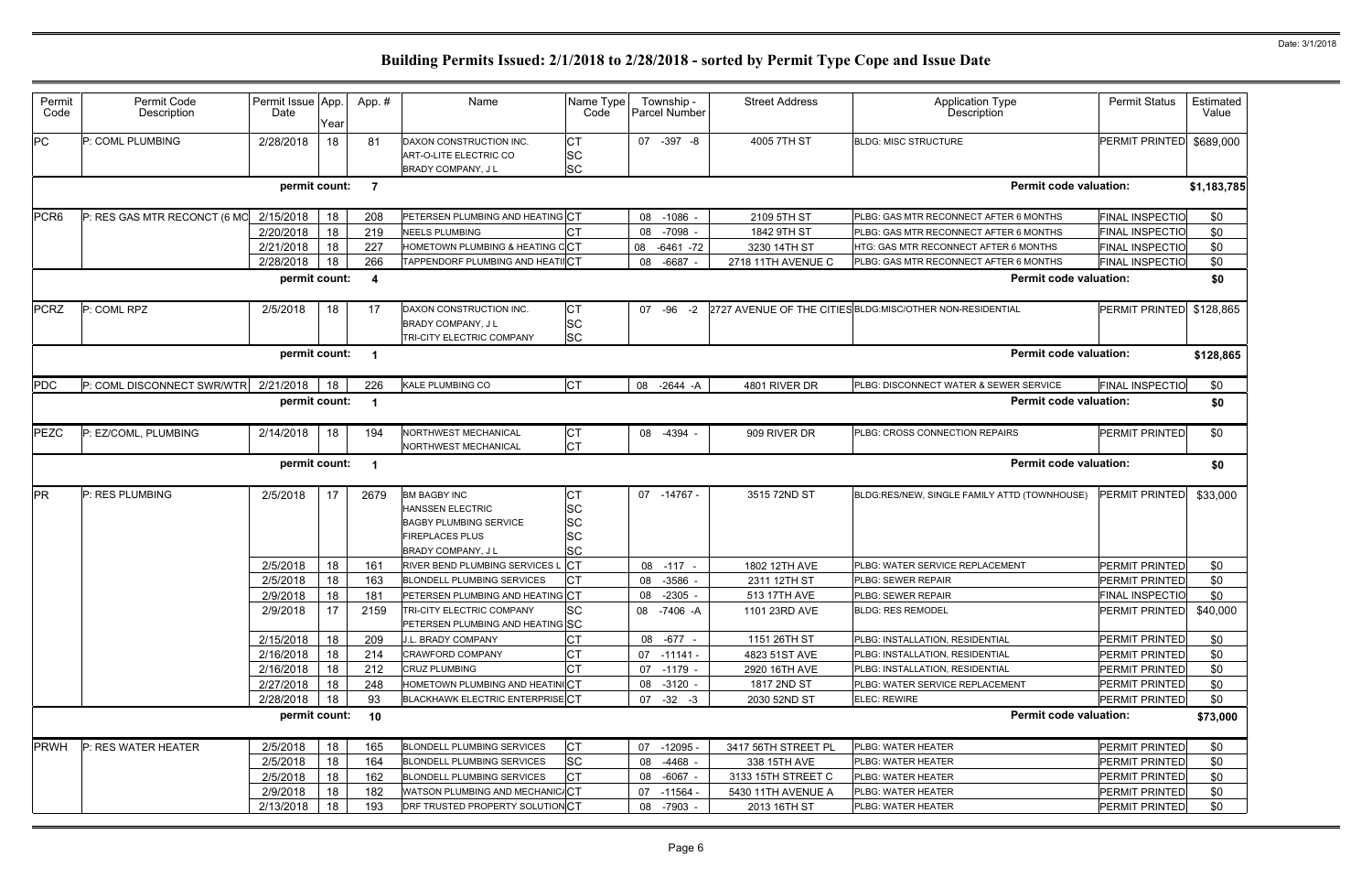| Permit<br>Code   | Permit Code<br>Description   | Permit Issue App<br>Date | Year     | App.# | Name                                                                                                      | Name Type<br>Code     | Township -<br>Parcel Number | <b>Street Address</b> | <b>Application Type</b><br>Description                     | <b>Permit Status</b>     | Estimated<br>Value |
|------------------|------------------------------|--------------------------|----------|-------|-----------------------------------------------------------------------------------------------------------|-----------------------|-----------------------------|-----------------------|------------------------------------------------------------|--------------------------|--------------------|
| PC               | P: COML PLUMBING             | 2/28/2018                | 18       | 81    | DAXON CONSTRUCTION INC.<br>ART-O-LITE ELECTRIC CO<br>BRADY COMPANY, J L                                   | СT<br>SC<br><b>SC</b> | $-397 - 8$<br>07            | 4005 7TH ST           | <b>BLDG: MISC STRUCTURE</b>                                | <b>PERMIT PRINTED</b>    | \$689,000          |
|                  |                              | permit count:            |          | -7    |                                                                                                           |                       |                             |                       | <b>Permit code valuation:</b>                              |                          | \$1,183,785        |
| PCR <sub>6</sub> | P: RES GAS MTR RECONCT (6 MO | 2/15/2018                | 18       | 208   | PETERSEN PLUMBING AND HEATING CT                                                                          |                       | 08<br>$-1086$ -             | 2109 5TH ST           | PLBG: GAS MTR RECONNECT AFTER 6 MONTHS                     | <b>FINAL INSPECTIO</b>   | \$0                |
|                  |                              | 2/20/2018                | 18       | 219   | <b>NEELS PLUMBING</b>                                                                                     |                       | $-7098$<br>08               | 1842 9TH ST           | PLBG: GAS MTR RECONNECT AFTER 6 MONTHS                     | <b>FINAL INSPECTIO</b>   | \$0                |
|                  |                              | 2/21/2018                | 18       | 227   | HOMETOWN PLUMBING & HEATING CCT                                                                           |                       | 08<br>$-6461 - 72$          | 3230 14TH ST          | HTG: GAS MTR RECONNECT AFTER 6 MONTHS                      | <b>FINAL INSPECTIO</b>   | \$0                |
|                  |                              | 2/28/2018                | 18       | 266   | TAPPENDORF PLUMBING AND HEAT                                                                              |                       | $-6687$<br>08               | 2718 11TH AVENUE C    | PLBG: GAS MTR RECONNECT AFTER 6 MONTHS                     | FINAL INSPECTIO          | \$0                |
|                  |                              | permit count:            |          | -4    |                                                                                                           |                       |                             |                       | <b>Permit code valuation:</b>                              |                          | \$0                |
| <b>PCRZ</b>      | P: COML RPZ                  | 2/5/2018                 | 18       | 17    | DAXON CONSTRUCTION INC.<br><b>BRADY COMPANY, JL</b><br>TRI-CITY ELECTRIC COMPANY                          | СT<br>SC<br><b>SC</b> | 07 -96<br>$-2$              |                       | 2727 AVENUE OF THE CITIES BLDG: MISC/OTHER NON-RESIDENTIAL | PERMIT PRINTED \$128,865 |                    |
|                  |                              | permit count:            |          |       |                                                                                                           |                       |                             |                       | <b>Permit code valuation:</b>                              |                          | \$128,865          |
| <b>PDC</b>       | P: COML DISCONNECT SWR/WTR   | 2/21/2018                | 18       | 226   | <b>KALE PLUMBING CO</b>                                                                                   | <b>CT</b>             | 08<br>-2644 -A              | 4801 RIVER DR         | PLBG: DISCONNECT WATER & SEWER SERVICE                     | <b>FINAL INSPECTIO</b>   | \$0                |
|                  |                              | permit count:            |          |       |                                                                                                           |                       |                             |                       | <b>Permit code valuation:</b>                              |                          | \$0                |
|                  |                              |                          |          |       |                                                                                                           |                       |                             |                       |                                                            |                          |                    |
| PEZC             | P: EZ/COML, PLUMBING         | 2/14/2018                | 18       | 194   | NORTHWEST MECHANICAL<br>NORTHWEST MECHANICAL                                                              | СT<br>СT              | 08 -4394 -                  | 909 RIVER DR          | PLBG: CROSS CONNECTION REPAIRS                             | <b>PERMIT PRINTED</b>    | \$0                |
|                  |                              | permit count:            |          |       |                                                                                                           |                       |                             |                       | <b>Permit code valuation:</b>                              |                          | \$0                |
| <b>PR</b>        | P: RES PLUMBING              | 2/5/2018                 | 17       | 2679  | <b>BM BAGBY INC</b><br><b>HANSSEN ELECTRIC</b><br><b>BAGBY PLUMBING SERVICE</b><br><b>FIREPLACES PLUS</b> | SC<br>SC<br>SC        | 07<br>-14767 -              | 3515 72ND ST          | BLDG:RES/NEW, SINGLE FAMILY ATTD (TOWNHOUSE)               | <b>PERMIT PRINTED</b>    | \$33,000           |
|                  |                              |                          |          |       | <b>BRADY COMPANY, JL</b>                                                                                  |                       |                             |                       |                                                            |                          |                    |
|                  |                              | 2/5/2018                 |          | 161   | RIVER BEND PLUMBING SERVICES L                                                                            | <b>SC</b>             | $-117$<br>80                | 1802 12TH AVE         | PLBG: WATER SERVICE REPLACEMENT                            | PERMIT PRINTED           |                    |
|                  |                              | 2/5/2018                 | 18<br>18 | 163   | <b>BLONDELL PLUMBING SERVICES</b>                                                                         |                       | 08 -3586                    | 2311 12TH ST          | PLBG: SEWER REPAIR                                         | <b>PERMIT PRINTED</b>    | \$0<br>\$0         |
|                  |                              | 2/9/2018                 | 18       | 181   | PETERSEN PLUMBING AND HEATING CT                                                                          |                       | 08 -2305 -                  | 513 17TH AVE          | PLBG: SEWER REPAIR                                         | <b>FINAL INSPECTIO</b>   | \$0                |
|                  |                              | 2/9/2018                 | 17       | 2159  | TRI-CITY ELECTRIC COMPANY                                                                                 | <b>SC</b>             | 08 -7406 -A                 | 1101 23RD AVE         | <b>BLDG: RES REMODEL</b>                                   | <b>PERMIT PRINTED</b>    | \$40,000           |
|                  |                              | 2/15/2018                | 18       | 209   | PETERSEN PLUMBING AND HEATING SC<br>J.L. BRADY COMPANY                                                    |                       | 08 -677 -                   | 1151 26TH ST          | PLBG: INSTALLATION, RESIDENTIAL                            | <b>PERMIT PRINTED</b>    | \$0                |
|                  |                              | 2/16/2018                | 18       | 214   | <b>CRAWFORD COMPANY</b>                                                                                   |                       | $07 - 11141 -$              | 4823 51ST AVE         | PLBG: INSTALLATION, RESIDENTIAL                            | <b>PERMIT PRINTED</b>    | \$0                |
|                  |                              | 2/16/2018                | 18       | 212   | CRUZ PLUMBING                                                                                             |                       | $-1179 -$<br>07             | 2920 16TH AVE         | PLBG: INSTALLATION, RESIDENTIAL                            | PERMIT PRINTED           | \$0                |
|                  |                              | 2/27/2018                | 18       | 248   | HOMETOWN PLUMBING AND HEATING CT                                                                          |                       | 08 -3120 -                  | 1817 2ND ST           | PLBG: WATER SERVICE REPLACEMENT                            | <b>PERMIT PRINTED</b>    | \$0                |
|                  |                              | 2/28/2018                | 18       | 93    | <b>BLACKHAWK ELECTRIC ENTERPRISE CT</b>                                                                   |                       | $07 -32 -3$                 | 2030 52ND ST          | <b>ELEC: REWIRE</b>                                        | PERMIT PRINTED           | \$0                |
|                  |                              | permit count: 10         |          |       |                                                                                                           |                       |                             |                       | <b>Permit code valuation:</b>                              |                          | \$73,000           |
| <b>PRWH</b>      | P: RES WATER HEATER          | 2/5/2018                 | 18       | 165   | <b>BLONDELL PLUMBING SERVICES</b>                                                                         | СT                    | $-12095$<br>07              | 3417 56TH STREET PL   | PLBG: WATER HEATER                                         | PERMIT PRINTED           | \$0                |
|                  |                              | 2/5/2018                 | 18       | 164   | <b>BLONDELL PLUMBING SERVICES</b>                                                                         | <b>SC</b>             | -4468 -<br>08               | 338 15TH AVE          | PLBG: WATER HEATER                                         | PERMIT PRINTED           | \$0                |
|                  |                              | 2/5/2018                 | 18       | 162   | <b>BLONDELL PLUMBING SERVICES</b>                                                                         |                       | $-6067 -$<br>08             | 3133 15TH STREET C    | PLBG: WATER HEATER                                         | PERMIT PRINTED           | \$0                |
|                  |                              | 2/9/2018                 | 18       | 182   | WATSON PLUMBING AND MECHANIC/CT                                                                           |                       | 07<br>-11564 -              | 5430 11TH AVENUE A    | PLBG: WATER HEATER                                         | PERMIT PRINTED           | \$0                |